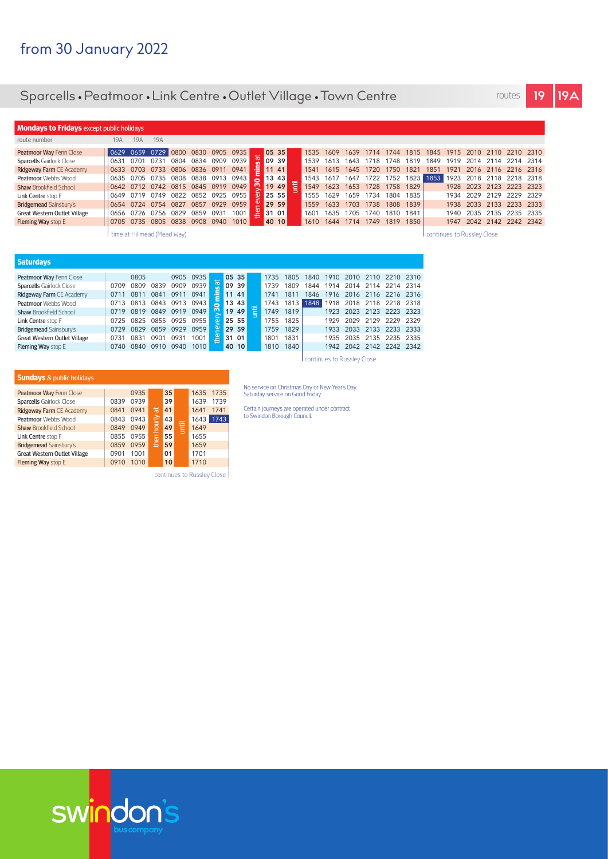## Sparcells • Peatmoor • Link Centre • Outlet Village • Town Centre routes **19 19A**

| routes |  |
|--------|--|
|        |  |

| <b>Mondays to Fridays except public holidays</b> |                             |           |                |      |                |      |      |  |  |       |                            |       |      |           |      |      |      |      |       |           |                          |           |      |
|--------------------------------------------------|-----------------------------|-----------|----------------|------|----------------|------|------|--|--|-------|----------------------------|-------|------|-----------|------|------|------|------|-------|-----------|--------------------------|-----------|------|
| route number                                     | 19A                         | 19A       | 19A            |      |                |      |      |  |  |       |                            |       |      |           |      |      |      |      |       |           |                          |           |      |
| Peatmoor Way Fenn Close                          | 0629                        | 0659      | 0729           | 0800 | 0830           | 0905 | 0935 |  |  | 05 35 |                            | 1535  | 1609 | 1639      | 1714 | 1744 | 1815 | 1845 | 1915  | 2010      | 2110                     | 2210 2310 |      |
| <b>Sparcells Gairlock Close</b>                  | 0631                        | 0701      | 0731           | 0804 | 0834           | 0909 | 0939 |  |  | 09 39 |                            | 1539  | 1613 | 1643      | 1718 | 1748 | 1819 | 1849 | 1919  | 2014      | 2114                     | 2214 2314 |      |
| Ridgeway Farm CE Academy                         | 0633                        | 0703 0733 |                | 0806 | 0836 0911      |      | 0941 |  |  | 11 41 |                            | 1541  | 1615 | 1645      | 1720 | 1750 | 182' | 1851 | 1921  |           | 2016 2116 2216 2316      |           |      |
| <b>Peatmoor</b> Webbs Wood                       | 0635                        | 0705      | 0735           | 0808 | 0838           | 0913 | 0943 |  |  | 13 43 |                            | 1543  | 1617 | 1647      | 1722 | 1752 | 1823 | 1853 | 1923  | 2018      | 2118                     | 2218 2318 |      |
| <b>Shaw Brookfield School</b>                    |                             |           | 0642 0712 0742 |      | 0815 0845 0919 |      | 0949 |  |  | 19 49 |                            | 1549  | 1623 | 1653      | 1728 | 1758 | 1829 |      |       | 1928 2023 | 2123                     | 2223 2323 |      |
| Link Centre stop F                               | 0649                        | 0719      | 0749           | 0822 | 0852           | 0925 | 0955 |  |  | 25 55 |                            | 1555  | 1629 | 1659      | 1734 | 1804 | 1835 |      | 1934  | 2029      | 2129                     | 2229      | 2329 |
| Bridgemead Sainsbury's                           | 0654 0724 0754              |           |                | 0827 | 0857           | 0929 | 0959 |  |  | 29 59 |                            | 1559  | 1633 | 1703      | 1738 | 1808 | 1839 |      |       | 1938 2033 | 2133 2233 2333           |           |      |
| <b>Great Western Outlet Village</b>              | 0656                        | 0726      | 0756           | 0829 | 0859           | 0931 | 1001 |  |  | 31 01 |                            | 1601  | 1635 | 1705      | 1740 | 1810 | 1841 |      | 1940. | 2035      | 2135                     | 2235 2335 |      |
| Fleming Way stop E                               | 0705 0735 0805              |           |                | 0838 | 0908           | 0940 | 1010 |  |  | 40 10 |                            | 1610- | 1644 | 1714 1749 |      | 1819 | 1850 |      |       |           | 1947 2042 2142 2242 2342 |           |      |
|                                                  | time at Hillmead (Mead Way) |           |                |      |                |      |      |  |  |       | continues to Russley Close |       |      |           |      |      |      |      |       |           |                          |           |      |

| <b>Saturdays</b>                    |      |      |      |      |      |                |       |                               |      |      |      |      |      |           |           |      |
|-------------------------------------|------|------|------|------|------|----------------|-------|-------------------------------|------|------|------|------|------|-----------|-----------|------|
|                                     |      |      |      |      |      |                |       |                               |      |      |      |      |      |           |           |      |
| Peatmoor Way Fenn Close             |      | 0805 |      | 0905 | 0935 |                | 05 35 |                               | 1735 | 1805 | 1840 | 1910 | 2010 | 2110      | 2210 2310 |      |
| <b>Sparcells Gairlock Close</b>     | 0709 | 0809 | 0839 | 0909 | 0939 | œ              | 09 39 |                               | 1739 | 809  | 1844 | 1914 | 2014 | 2114      | 2214 2314 |      |
| Ridgeway Farm CE Academy            | 0711 | 0811 | 0841 | 0911 | 0941 | 틑              | 11 41 |                               | 1741 | 1811 | 1846 | 1916 |      | 2016 2116 | 2216 2316 |      |
| <b>Peatmoor Webbs Wood</b>          | 0713 | 0813 | 0843 | 0913 | 0943 | 0              | 1343  | $\overline{\phantom{0}}$<br>− | 1743 | 1813 | 1848 | 1918 | 2018 | 2118      | 2218 2318 |      |
| <b>Shaw Brookfield School</b>       | 0719 | 0819 | 0849 | 0919 | 0949 | m              | 1949  |                               | 1749 | 1819 |      | 1923 | 2023 | 2123      | 2223 2323 |      |
| Link Centre stop F                  | 0725 | 0825 | 0855 | 0925 | 0955 | $\overline{a}$ | 25 55 |                               | 1755 | 1825 |      | 1929 | 2029 | 2129      | 2229      | 2329 |
| Bridgemead Sainsbury's              | 0729 | 0829 | 0859 | 0929 | 0959 |                | 29 59 |                               | 1759 | 1829 |      | 1933 | 2033 | 2133      | 2233 2333 |      |
| <b>Great Western Outlet Village</b> | 0731 | 0831 | 0901 | 0931 | 001  | e۹             | 31 01 |                               | 1801 | 1831 |      | 1935 | 2035 | 2135      | 2235      | 2335 |
| Fleming Way stop E                  | 0740 | 0840 | 0910 | 0940 | 1010 |                | 40 10 |                               | 1810 | 1840 |      | 1942 | 2042 | 2142      | 2242 2342 |      |
|                                     |      |      |      |      |      |                |       |                               |      |      |      |      |      |           |           |      |

continues to Russley Close

| <b>Sundays</b> & public holidays                                                                                                                                                                                                      |                                                      |                                                              |                      |                                              |   |                                                              |                              |
|---------------------------------------------------------------------------------------------------------------------------------------------------------------------------------------------------------------------------------------|------------------------------------------------------|--------------------------------------------------------------|----------------------|----------------------------------------------|---|--------------------------------------------------------------|------------------------------|
| Peatmoor Way Fenn Close<br><b>Sparcells Gairlock Close</b><br>Ridgeway Farm CE Academy<br>Peatmoor Webbs Wood<br><b>Shaw Brookfield School</b><br>Link Centre stop F<br>Bridgemead Sainsbury's<br><b>Great Western Outlet Village</b> | 0839<br>0841<br>0843<br>0849<br>0855<br>0859<br>0901 | 0935<br>0939<br>0941<br>0943<br>0949<br>0955<br>0959<br>1001 | ਜ਼<br>hourly<br>then | 35<br>39<br>41<br>43<br>49<br>55<br>59<br>01 | 冒 | 1635<br>1639<br>1641<br>1643<br>1649<br>1655<br>1659<br>1701 | 1735<br>1739<br>1741<br>1743 |
| Fleming Way stop E                                                                                                                                                                                                                    | 0910                                                 | 1010                                                         |                      | 10                                           |   | 1710                                                         |                              |

continues to Russley Close

No service on Christmas Day or New Year's Day. Saturday service on Good Friday.

Certain journeys are operated under contract to Swindon Borough Council.